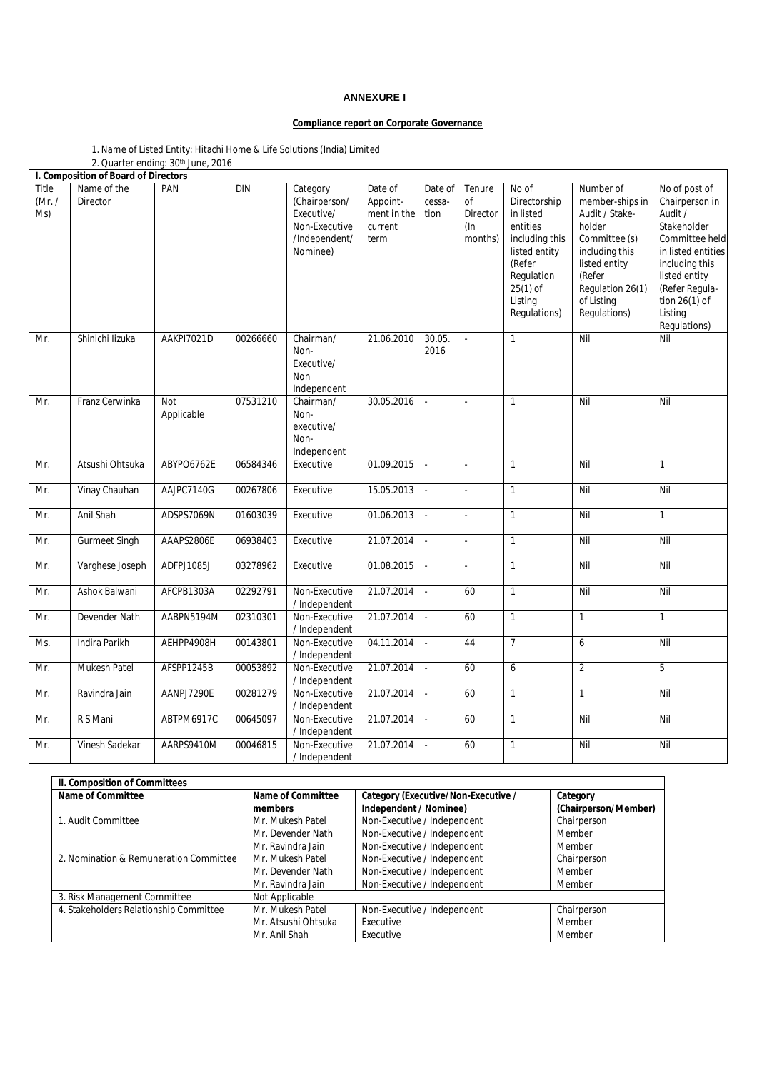## **ANNEXURE I**

## **Compliance report on Corporate Governance**

| 1. Name of Listed Entity: Hitachi Home & Life Solutions (India) Limited |  |
|-------------------------------------------------------------------------|--|
| 2. Quarter ending: 30 <sup>th</sup> June, 2016                          |  |

|                        | I. Composition of Board of Directors |                          |            |                                                                                       |                                                       |                           |                                               |                                                                                                                                                    |                                                                                                                                                                          |                                                                                                                                                                                                    |
|------------------------|--------------------------------------|--------------------------|------------|---------------------------------------------------------------------------------------|-------------------------------------------------------|---------------------------|-----------------------------------------------|----------------------------------------------------------------------------------------------------------------------------------------------------|--------------------------------------------------------------------------------------------------------------------------------------------------------------------------|----------------------------------------------------------------------------------------------------------------------------------------------------------------------------------------------------|
| Title<br>(Mr. /<br>Ms) | Name of the<br>Director              | PAN                      | <b>DIN</b> | Category<br>(Chairperson/<br>Executive/<br>Non-Executive<br>/Independent/<br>Nominee) | Date of<br>Appoint-<br>ment in the<br>current<br>term | Date of<br>cessa-<br>tion | Tenure<br>of<br>Director<br>$(\ln$<br>months) | No of<br>Directorship<br>in listed<br>entities<br>including this<br>listed entity<br>(Refer<br>Regulation<br>$25(1)$ of<br>Listing<br>Regulations) | Number of<br>member-ships in<br>Audit / Stake-<br>holder<br>Committee (s)<br>including this<br>listed entity<br>(Refer<br>Regulation 26(1)<br>of Listing<br>Regulations) | No of post of<br>Chairperson in<br>Audit /<br>Stakeholder<br>Committee held<br>in listed entities<br>including this<br>listed entity<br>(Refer Regula-<br>tion 26(1) of<br>Listing<br>Regulations) |
| Mr.                    | Shinichi lizuka                      | AAKPI7021D               | 00266660   | Chairman/<br>Non-<br>Executive/<br>Non<br>Independent                                 | 21.06.2010                                            | 30.05.<br>2016            | $\omega$                                      | $\mathbf{1}$                                                                                                                                       | Nil                                                                                                                                                                      | Nil                                                                                                                                                                                                |
| Mr.                    | Franz Cerwinka                       | <b>Not</b><br>Applicable | 07531210   | Chairman/<br>Non-<br>executive/<br>Non-<br>Independent                                | 30.05.2016                                            | $\sim$                    | $\sim$                                        | $\mathbf{1}$                                                                                                                                       | Nil                                                                                                                                                                      | Nil                                                                                                                                                                                                |
| Mr.                    | Atsushi Ohtsuka                      | ABYPO6762E               | 06584346   | Executive                                                                             | 01.09.2015                                            |                           | $\mathbf{r}$                                  | $\mathbf{1}$                                                                                                                                       | Nil                                                                                                                                                                      | $\mathbf{1}$                                                                                                                                                                                       |
| Mr.                    | Vinay Chauhan                        | AAJPC7140G               | 00267806   | Executive                                                                             | 15.05.2013                                            | $\sim$                    | $\sim$                                        | $\mathbf{1}$                                                                                                                                       | Nil                                                                                                                                                                      | Nil                                                                                                                                                                                                |
| Mr.                    | Anil Shah                            | ADSPS7069N               | 01603039   | Executive                                                                             | 01.06.2013                                            |                           | $\omega$                                      | $\mathbf{1}$                                                                                                                                       | Nil                                                                                                                                                                      | $\mathbf{1}$                                                                                                                                                                                       |
| Mr.                    | <b>Gurmeet Singh</b>                 | AAAPS2806E               | 06938403   | Executive                                                                             | 21.07.2014                                            | $\sim$                    | ä,                                            | $\mathbf{1}$                                                                                                                                       | Nil                                                                                                                                                                      | Nil                                                                                                                                                                                                |
| Mr.                    | Varghese Joseph                      | ADFPJ1085J               | 03278962   | Executive                                                                             | 01.08.2015                                            | $\sim$                    | ä,                                            | $\mathbf{1}$                                                                                                                                       | Nil                                                                                                                                                                      | Nil                                                                                                                                                                                                |
| Mr.                    | Ashok Balwani                        | AFCPB1303A               | 02292791   | Non-Executive<br>/ Independent                                                        | 21.07.2014                                            | $\sim$                    | 60                                            | $\mathbf{1}$                                                                                                                                       | Nil                                                                                                                                                                      | Nil                                                                                                                                                                                                |
| Mr.                    | Devender Nath                        | AABPN5194M               | 02310301   | Non-Executive<br>/ Independent                                                        | 21.07.2014                                            | $\sim$                    | 60                                            | $\mathbf{1}$                                                                                                                                       | $\mathbf{1}$                                                                                                                                                             | $\mathbf{1}$                                                                                                                                                                                       |
| Ms.                    | Indira Parikh                        | AEHPP4908H               | 00143801   | Non-Executive<br>/ Independent                                                        | 04.11.2014                                            | $\sim$                    | 44                                            | $\overline{7}$                                                                                                                                     | 6                                                                                                                                                                        | Nil                                                                                                                                                                                                |
| Mr.                    | <b>Mukesh Patel</b>                  | AFSPP1245B               | 00053892   | Non-Executive<br>/ Independent                                                        | 21.07.2014                                            | $\mathbf{r}$              | 60                                            | 6                                                                                                                                                  | $\overline{2}$                                                                                                                                                           | 5                                                                                                                                                                                                  |
| Mr.                    | Ravindra Jain                        | AANPJ7290E               | 00281279   | Non-Executive<br>/ Independent                                                        | 21.07.2014                                            | $\sim$                    | 60                                            | $\mathbf{1}$                                                                                                                                       | $\mathbf{1}$                                                                                                                                                             | Nil                                                                                                                                                                                                |
| Mr.                    | R S Mani                             | ABTPM6917C               | 00645097   | Non-Executive<br>/ Independent                                                        | 21.07.2014                                            | $\sim$                    | 60                                            | $\mathbf{1}$                                                                                                                                       | Nil                                                                                                                                                                      | Nil                                                                                                                                                                                                |
| Mr.                    | Vinesh Sadekar                       | AARPS9410M               | 00046815   | Non-Executive<br>/ Independent                                                        | 21.07.2014                                            | $\sim$                    | 60                                            | $\mathbf{1}$                                                                                                                                       | Nil                                                                                                                                                                      | Nil                                                                                                                                                                                                |

| II. Composition of Committees          |                     |                                     |                      |
|----------------------------------------|---------------------|-------------------------------------|----------------------|
| Name of Committee                      | Name of Committee   | Category (Executive/Non-Executive / | Category             |
|                                        | members             | Independent / Nominee)              | (Chairperson/Member) |
| 1. Audit Committee                     | Mr. Mukesh Patel    | Non-Executive / Independent         | Chairperson          |
|                                        | Mr. Devender Nath   | Non-Executive / Independent         | Member               |
|                                        | Mr. Ravindra Jain   | Non-Executive / Independent         | Member               |
| 2. Nomination & Remuneration Committee | Mr. Mukesh Patel    | Non-Executive / Independent         | Chairperson          |
|                                        | Mr. Devender Nath   | Non-Executive / Independent         | Member               |
|                                        | Mr. Ravindra Jain   | Non-Executive / Independent         | Member               |
| 3. Risk Management Committee           | Not Applicable      |                                     |                      |
| 4. Stakeholders Relationship Committee | Mr. Mukesh Patel    | Non-Executive / Independent         | Chairperson          |
|                                        | Mr. Atsushi Ohtsuka | Executive                           | Member               |
|                                        | Mr. Anil Shah       | Executive                           | Member               |

 $\begin{array}{c} \hline \end{array}$